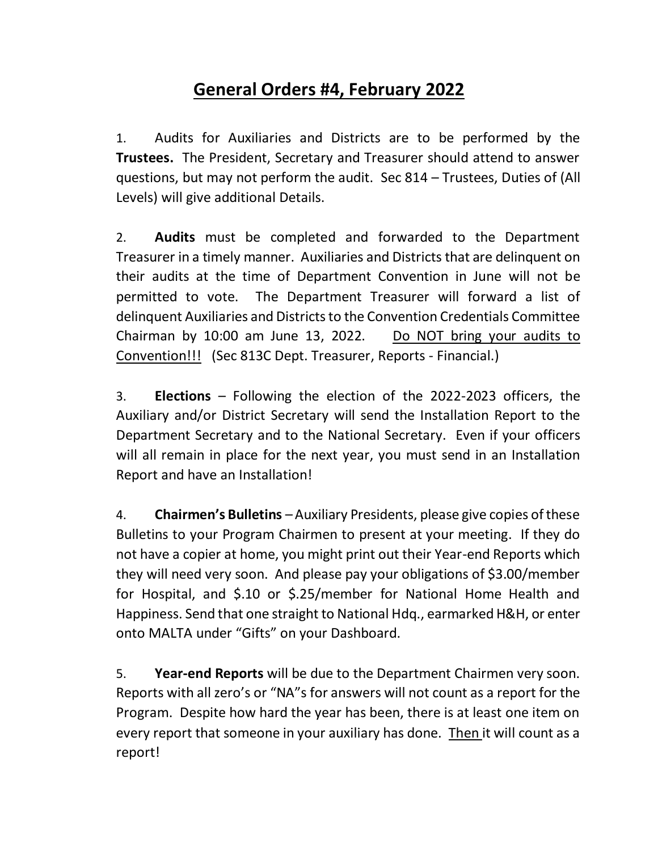## **General Orders #4, February 2022**

1. Audits for Auxiliaries and Districts are to be performed by the **Trustees.** The President, Secretary and Treasurer should attend to answer questions, but may not perform the audit. Sec 814 – Trustees, Duties of (All Levels) will give additional Details.

2. **Audits** must be completed and forwarded to the Department Treasurer in a timely manner. Auxiliaries and Districts that are delinquent on their audits at the time of Department Convention in June will not be permitted to vote. The Department Treasurer will forward a list of delinquent Auxiliaries and Districts to the Convention Credentials Committee Chairman by 10:00 am June 13, 2022. Do NOT bring your audits to Convention!!! (Sec 813C Dept. Treasurer, Reports - Financial.)

3. **Elections** – Following the election of the 2022-2023 officers, the Auxiliary and/or District Secretary will send the Installation Report to the Department Secretary and to the National Secretary. Even if your officers will all remain in place for the next year, you must send in an Installation Report and have an Installation!

4. **Chairmen's Bulletins** –Auxiliary Presidents, please give copies of these Bulletins to your Program Chairmen to present at your meeting. If they do not have a copier at home, you might print out their Year-end Reports which they will need very soon. And please pay your obligations of \$3.00/member for Hospital, and \$.10 or \$.25/member for National Home Health and Happiness. Send that one straight to National Hdq., earmarked H&H, or enter onto MALTA under "Gifts" on your Dashboard.

5. **Year-end Reports** will be due to the Department Chairmen very soon. Reports with all zero's or "NA"s for answers will not count as a report for the Program. Despite how hard the year has been, there is at least one item on every report that someone in your auxiliary has done. Then it will count as a report!